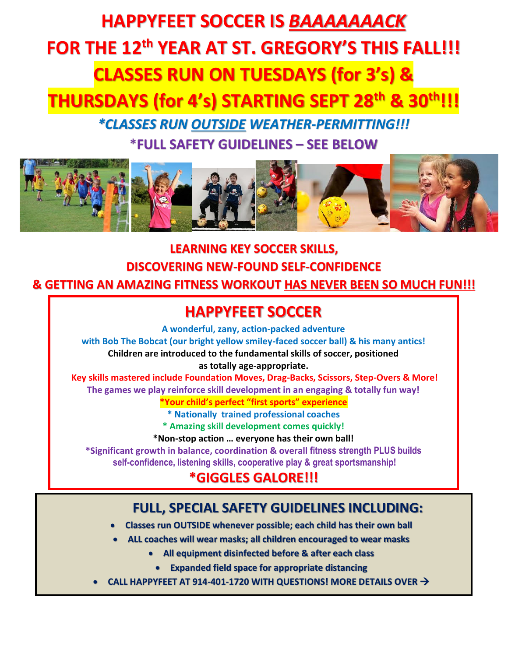# **HAPPYFEET SOCCER IS** *BAAAAAAACK* **FOR THE 12 th YEAR AT ST. GREGORY'S THIS FALL!!! CLASSES RUN ON TUESDAYS (for 3's) & THURSDAYS (for 4's) STARTING SEPT 28th & 30th!!!**

*\*CLASSES RUN OUTSIDE WEATHER-PERMITTING!!!* \***FULL SAFETY GUIDELINES – SEE BELOW**



**LEARNING KEY SOCCER SKILLS, DISCOVERING NEW-FOUND SELF-CONFIDENCE & GETTING AN AMAZING FITNESS WORKOUT HAS NEVER BEEN SO MUCH FUN!!!** 

### **HAPPYFEET SOCCER**

**A wonderful, zany, action-packed adventure** 

**with Bob The Bobcat (our bright yellow smiley-faced soccer ball) & his many antics! Children are introduced to the fundamental skills of soccer, positioned as totally age-appropriate.** 

**Key skills mastered include Foundation Moves, Drag-Backs, Scissors, Step-Overs & More! The games we play reinforce skill development in an engaging & totally fun way!**

**\*Your child's perfect "first sports" experience**

**\* Nationally trained professional coaches**

**\* Amazing skill development comes quickly!**

**\*Non-stop action … everyone has their own ball!**

**\*Significant growth in balance, coordination & overall fitness strength PLUS builds self-confidence, listening skills, cooperative play & great sportsmanship!**

## **\*GIGGLES GALORE!!!**

#### **FULL, SPECIAL SAFETY GUIDELINES INCLUDING:**

- **Classes run OUTSIDE whenever possible; each child has their own ball**
- **ALL coaches will wear masks; all children encouraged to wear masks**
	- **All equipment disinfected before & after each class**
	- **Expanded field space for appropriate distancing**
- **CALL HAPPYFEET AT 914-401-1720 WITH QUESTIONS! MORE DETAILS OVER** →